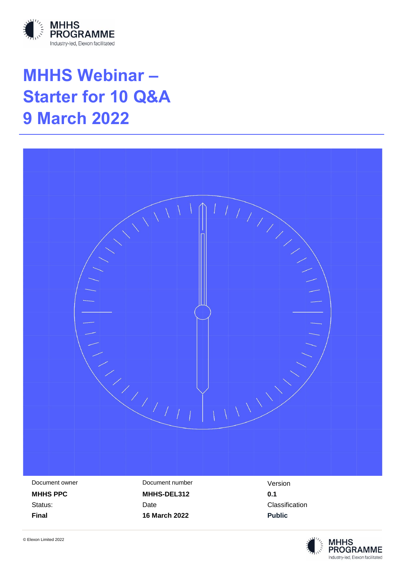

# **MHHS Webinar – Starter for 10 Q&A 9 March 2022**



**MHHS PPC MHHS-DEL312 0.1** Status: Classification Contract Date Classification Classification **Final 16 March 2022 Public**

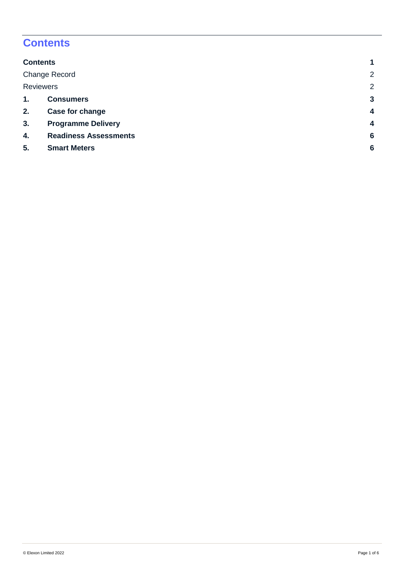# <span id="page-1-0"></span>**Contents**

| <b>Contents</b>              |                  |
|------------------------------|------------------|
| <b>Change Record</b>         |                  |
| <b>Reviewers</b>             | 2                |
| <b>Consumers</b>             | $\mathbf{3}$     |
| Case for change              | $\boldsymbol{4}$ |
| <b>Programme Delivery</b>    | $\boldsymbol{4}$ |
| <b>Readiness Assessments</b> | 6                |
| <b>Smart Meters</b>          | $6\phantom{1}6$  |
|                              |                  |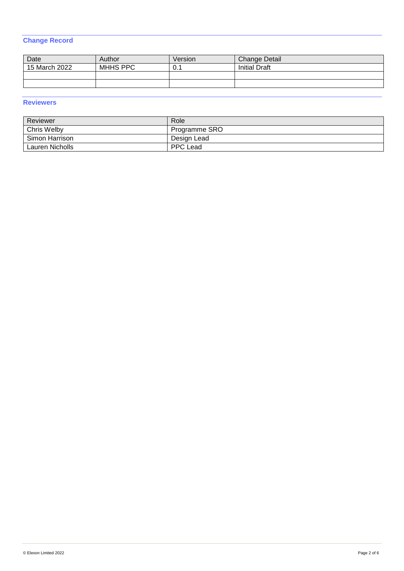#### <span id="page-2-0"></span>**Change Record**

| Date          | Author   | Version | <b>Change Detail</b> |
|---------------|----------|---------|----------------------|
| 15 March 2022 | MHHS PPC | ∪. ∣    | <b>Initial Draft</b> |
|               |          |         |                      |
|               |          |         |                      |

#### <span id="page-2-1"></span>**Reviewers**

| Reviewer           | Role          |
|--------------------|---------------|
| <b>Chris Welby</b> | Programme SRO |
| Simon Harrison     | Design Lead   |
| Lauren Nicholls    | PPC Lead      |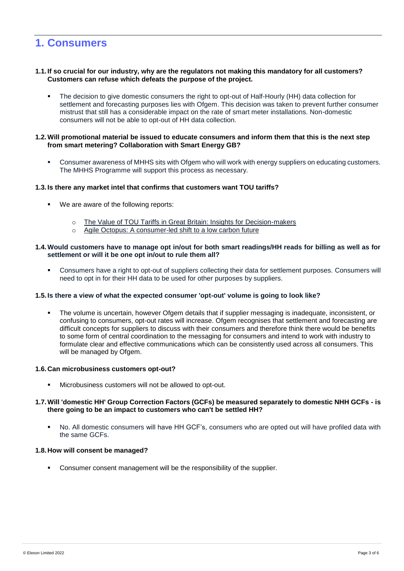### <span id="page-3-0"></span>**1. Consumers**

#### **1.1. If so crucial for our industry, why are the regulators not making this mandatory for all customers? Customers can refuse which defeats the purpose of the project.**

 The decision to give domestic consumers the right to opt-out of Half-Hourly (HH) data collection for settlement and forecasting purposes lies with Ofgem. This decision was taken to prevent further consumer mistrust that still has a considerable impact on the rate of smart meter installations. Non-domestic consumers will not be able to opt-out of HH data collection.

#### **1.2.Will promotional material be issued to educate consumers and inform them that this is the next step from smart metering? Collaboration with Smart Energy GB?**

 Consumer awareness of MHHS sits with Ofgem who will work with energy suppliers on educating customers. The MHHS Programme will support this process as necessary.

#### **1.3. Is there any market intel that confirms that customers want TOU tariffs?**

- We are aware of the following reports:
	- o [The Value of TOU Tariffs in Great Britain: Insights for Decision-makers](https://www.citizensadvice.org.uk/Global/CitizensAdvice/Energy/The%20Value%20of%20TOU%20Tariffs%20in%20GB%20-%20Volume%20I.pdf)
	- o [Agile Octopus: A consumer-led shift to a low carbon future](https://octopus.energy/static/consumer/documents/agile-report.pdf)

#### **1.4.Would customers have to manage opt in/out for both smart readings/HH reads for billing as well as for settlement or will it be one opt in/out to rule them all?**

 Consumers have a right to opt-out of suppliers collecting their data for settlement purposes. Consumers will need to opt in for their HH data to be used for other purposes by suppliers.

#### **1.5. Is there a view of what the expected consumer 'opt-out' volume is going to look like?**

 The volume is uncertain, however Ofgem details that if supplier messaging is inadequate, inconsistent, or confusing to consumers, opt-out rates will increase. Ofgem recognises that settlement and forecasting are difficult concepts for suppliers to discuss with their consumers and therefore think there would be benefits to some form of central coordination to the messaging for consumers and intend to work with industry to formulate clear and effective communications which can be consistently used across all consumers. This will be managed by Ofgem.

#### **1.6. Can microbusiness customers opt-out?**

Microbusiness customers will not be allowed to opt-out.

#### **1.7.Will 'domestic HH' Group Correction Factors (GCFs) be measured separately to domestic NHH GCFs - is there going to be an impact to customers who can't be settled HH?**

 No. All domestic consumers will have HH GCF's, consumers who are opted out will have profiled data with the same GCFs.

#### **1.8. How will consent be managed?**

Consumer consent management will be the responsibility of the supplier.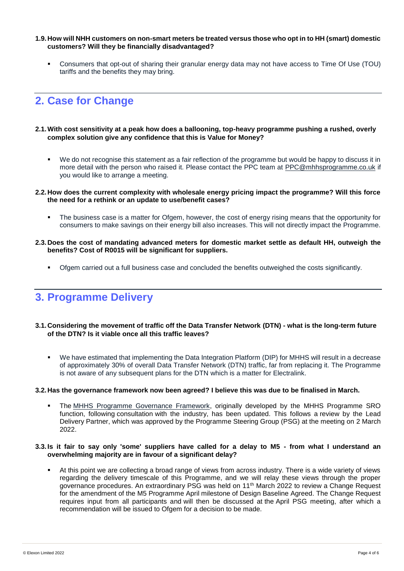- **1.9. How will NHH customers on non-smart meters be treated versus those who opt in to HH (smart) domestic customers? Will they be financially disadvantaged?**
	- Consumers that opt-out of sharing their granular energy data may not have access to Time Of Use (TOU) tariffs and the benefits they may bring.

# <span id="page-4-0"></span>**2. Case for Change**

- **2.1.With cost sensitivity at a peak how does a ballooning, top-heavy programme pushing a rushed, overly complex solution give any confidence that this is Value for Money?**
	- We do not recognise this statement as a fair reflection of the programme but would be happy to discuss it in more detail with the person who raised it. Please contact the PPC team at [PPC@mhhsprogramme.co.uk](mailto:PPC@mhhsprogramme.co.uk) if you would like to arrange a meeting.
- **2.2. How does the current complexity with wholesale energy pricing impact the programme? Will this force the need for a rethink or an update to use/benefit cases?**
	- The business case is a matter for Ofgem, however, the cost of energy rising means that the opportunity for consumers to make savings on their energy bill also increases. This will not directly impact the Programme.
- **2.3. Does the cost of mandating advanced meters for domestic market settle as default HH, outweigh the benefits? Cost of R0015 will be significant for suppliers.**
	- Ofgem carried out a full business case and concluded the benefits outweighed the costs significantly.

## <span id="page-4-1"></span>**3. Programme Delivery**

- **3.1. Considering the movement of traffic off the Data Transfer Network (DTN) - what is the long-term future of the DTN? Is it viable once all this traffic leaves?**
	- We have estimated that implementing the Data Integration Platform (DIP) for MHHS will result in a decrease of approximately 30% of overall Data Transfer Network (DTN) traffic, far from replacing it. The Programme is not aware of any subsequent plans for the DTN which is a matter for Electralink.

#### **3.2. Has the governance framework now been agreed? I believe this was due to be finalised in March.**

 The [MHHS Programme Governance Framework,](https://www.mhhsprogramme.co.uk/governance/) originally developed by the MHHS Programme SRO function, following [consultation](https://mhhsprogramme-production-cdn.s3.eu-west-2.amazonaws.com/wp-content/uploads/2021/10/04152229/MHHS-Programme_Governance-Framework-Consultation-Responses_July-2021.zip) with the industry, has been updated. This follows a review by the Lead Delivery Partner, which was approved by the Programme Steering Group (PSG) at the meeting on 2 March 2022.

#### **3.3. Is it fair to say only 'some' suppliers have called for a delay to M5 - from what I understand an overwhelming majority are in favour of a significant delay?**

 At this point we are collecting a broad range of views from across industry. There is a wide variety of views regarding the delivery timescale of this Programme, and we will relay these views through the proper governance procedures. An extraordinary PSG was held on 11th March 2022 to review a Change Request for the amendment of the M5 Programme April milestone of Design Baseline Agreed. The Change Request requires input from all participants and will then be discussed at the April PSG meeting, after which a recommendation will be issued to Ofgem for a decision to be made.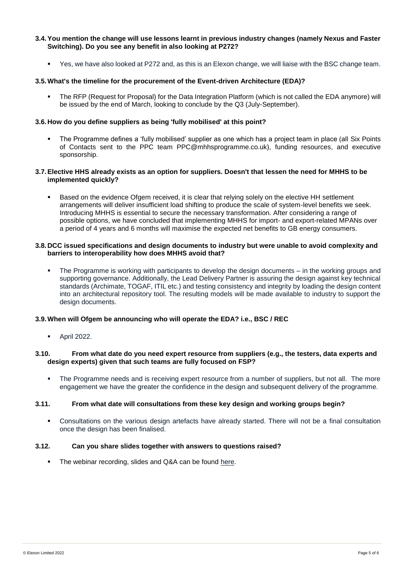#### **3.4.You mention the change will use lessons learnt in previous industry changes (namely Nexus and Faster Switching). Do you see any benefit in also looking at P272?**

Yes, we have also looked at P272 and, as this is an Elexon change, we will liaise with the BSC change team.

#### **3.5.What's the timeline for the procurement of the Event-driven Architecture (EDA)?**

 The RFP (Request for Proposal) for the Data Integration Platform (which is not called the EDA anymore) will be issued by the end of March, looking to conclude by the Q3 (July-September).

#### **3.6. How do you define suppliers as being 'fully mobilised' at this point?**

 The Programme defines a 'fully mobilised' supplier as one which has a project team in place (all Six Points of Contacts sent to the PPC team PPC@mhhsprogramme.co.uk), funding resources, and executive sponsorship.

#### **3.7.Elective HHS already exists as an option for suppliers. Doesn't that lessen the need for MHHS to be implemented quickly?**

 Based on the evidence Ofgem received, it is clear that relying solely on the elective HH settlement arrangements will deliver insufficient load shifting to produce the scale of system-level benefits we seek. Introducing MHHS is essential to secure the necessary transformation. After considering a range of possible options, we have concluded that implementing MHHS for import- and export-related MPANs over a period of 4 years and 6 months will maximise the expected net benefits to GB energy consumers.

#### **3.8. DCC issued specifications and design documents to industry but were unable to avoid complexity and barriers to interoperability how does MHHS avoid that?**

 The Programme is working with participants to develop the design documents – in the working groups and supporting governance. Additionally, the Lead Delivery Partner is assuring the design against key technical standards (Archimate, TOGAF, ITIL etc.) and testing consistency and integrity by loading the design content into an architectural repository tool. The resulting models will be made available to industry to support the design documents.

#### **3.9.When will Ofgem be announcing who will operate the EDA? i.e., BSC / REC**

April 2022.

#### **3.10. From what date do you need expert resource from suppliers (e.g., the testers, data experts and design experts) given that such teams are fully focused on FSP?**

 The Programme needs and is receiving expert resource from a number of suppliers, but not all. The more engagement we have the greater the confidence in the design and subsequent delivery of the programme.

#### **3.11. From what date will consultations from these key design and working groups begin?**

 Consultations on the various design artefacts have already started. There will not be a final consultation once the design has been finalised.

#### **3.12. Can you share slides together with answers to questions raised?**

• The webinar recording, slides and Q&A can be found [here.](https://www.mhhsprogramme.co.uk/mhhs-webinar-series/)